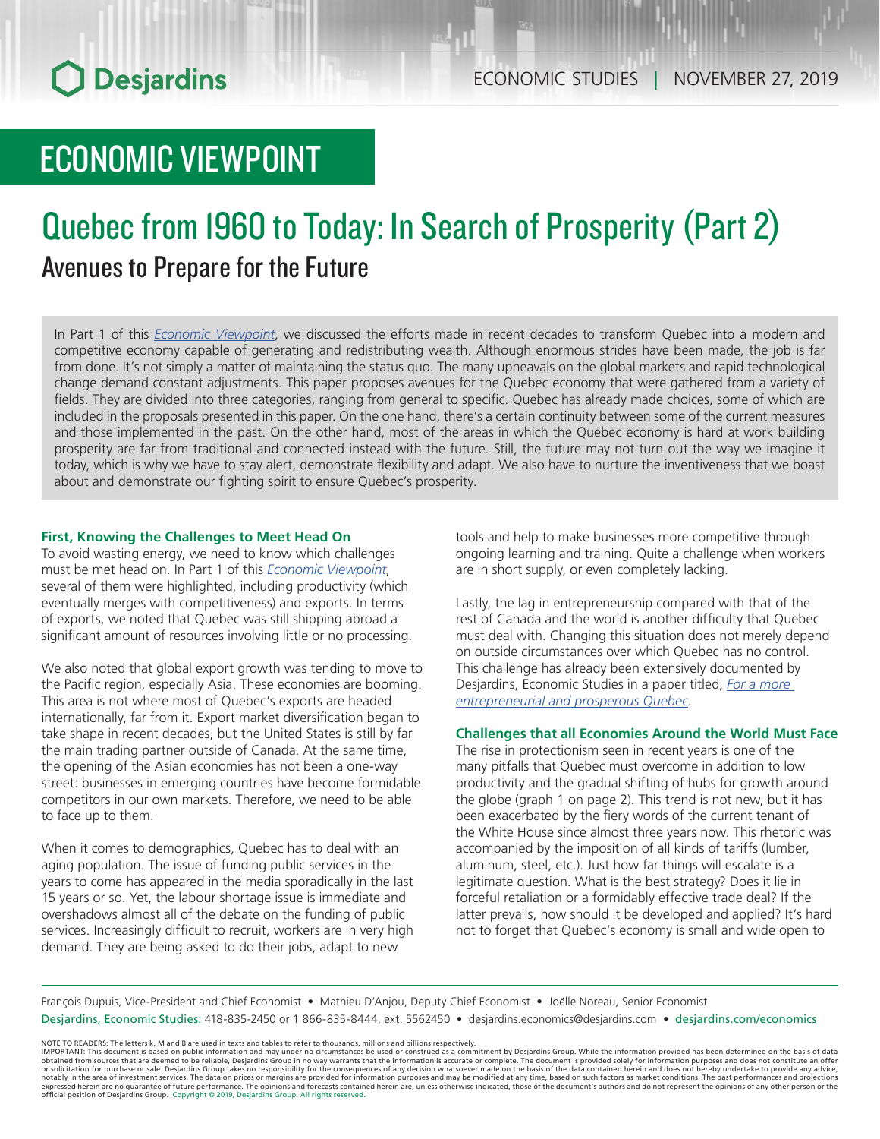# ECONOMIC VIEWPOINT

# Quebec from 1960 to Today: In Search of Prosperity (Part 2) Avenues to Prepare for the Future

In Part 1 of this *[Economic Viewpoint](https://www.desjardins.com/ressources/pdf/pv120318e.pdf?resVer=1543846225000)*, we discussed the efforts made in recent decades to transform Quebec into a modern and competitive economy capable of generating and redistributing wealth. Although enormous strides have been made, the job is far from done. It's not simply a matter of maintaining the status quo. The many upheavals on the global markets and rapid technological change demand constant adjustments. This paper proposes avenues for the Quebec economy that were gathered from a variety of fields. They are divided into three categories, ranging from general to specific. Quebec has already made choices, some of which are included in the proposals presented in this paper. On the one hand, there's a certain continuity between some of the current measures and those implemented in the past. On the other hand, most of the areas in which the Quebec economy is hard at work building prosperity are far from traditional and connected instead with the future. Still, the future may not turn out the way we imagine it today, which is why we have to stay alert, demonstrate flexibility and adapt. We also have to nurture the inventiveness that we boast about and demonstrate our fighting spirit to ensure Quebec's prosperity.

## **First, Knowing the Challenges to Meet Head On**

To avoid wasting energy, we need to know which challenges must be met head on. In Part 1 of this *[Economic Viewpoint](https://www.desjardins.com/ressources/pdf/pv120318e.pdf?resVer=1543846225000)*, several of them were highlighted, including productivity (which eventually merges with competitiveness) and exports. In terms of exports, we noted that Quebec was still shipping abroad a significant amount of resources involving little or no processing.

We also noted that global export growth was tending to move to the Pacific region, especially Asia. These economies are booming. This area is not where most of Quebec's exports are headed internationally, far from it. Export market diversification began to take shape in recent decades, but the United States is still by far the main trading partner outside of Canada. At the same time, the opening of the Asian economies has not been a one-way street: businesses in emerging countries have become formidable competitors in our own markets. Therefore, we need to be able to face up to them.

When it comes to demographics, Quebec has to deal with an aging population. The issue of funding public services in the years to come has appeared in the media sporadically in the last 15 years or so. Yet, the labour shortage issue is immediate and overshadows almost all of the debate on the funding of public services. Increasingly difficult to recruit, workers are in very high demand. They are being asked to do their jobs, adapt to new

tools and help to make businesses more competitive through ongoing learning and training. Quite a challenge when workers are in short supply, or even completely lacking.

Lastly, the lag in entrepreneurship compared with that of the rest of Canada and the world is another difficulty that Quebec must deal with. Changing this situation does not merely depend on outside circumstances over which Quebec has no control. This challenge has already been extensively documented by Desjardins, Economic Studies in a paper titled, *[For a more](https://www.desjardins.com/ressources/pdf/de2014-f.pdf?resVer=1401906860000)  [entrepreneurial and prosperous Quebec](https://www.desjardins.com/ressources/pdf/de2014-f.pdf?resVer=1401906860000)*.

## **Challenges that all Economies Around the World Must Face**

The rise in protectionism seen in recent years is one of the many pitfalls that Quebec must overcome in addition to low productivity and the gradual shifting of hubs for growth around the globe (graph 1 on page 2). This trend is not new, but it has been exacerbated by the fiery words of the current tenant of the White House since almost three years now. This rhetoric was accompanied by the imposition of all kinds of tariffs (lumber, aluminum, steel, etc.). Just how far things will escalate is a legitimate question. What is the best strategy? Does it lie in forceful retaliation or a formidably effective trade deal? If the latter prevails, how should it be developed and applied? It's hard not to forget that Quebec's economy is small and wide open to

François Dupuis, Vice-President and Chief Economist • Mathieu D'Anjou, Deputy Chief Economist • Joëlle Noreau, Senior Economist Desjardins, Economic Studies: 418-835-2450 or 1 866-835-8444, ext. 5562450 • desjardins.economics@desjardins.com • desjardins.com/economics

NOTE TO READERS: The letters k, M and B are used in texts and tables to refer to thousands, millions and billions respectively.<br>IMPORTANT: This document is based on public information and may under no circumstances be used obtained from sources that are deemed to be reliable, Desjardins Group in no way warrants that the information is accurate or complete. The document is provided solely for information purposes and does not constitute an of official position of Desjardins Group. Copyright © 2019, Desjardins Group. All rights reserved.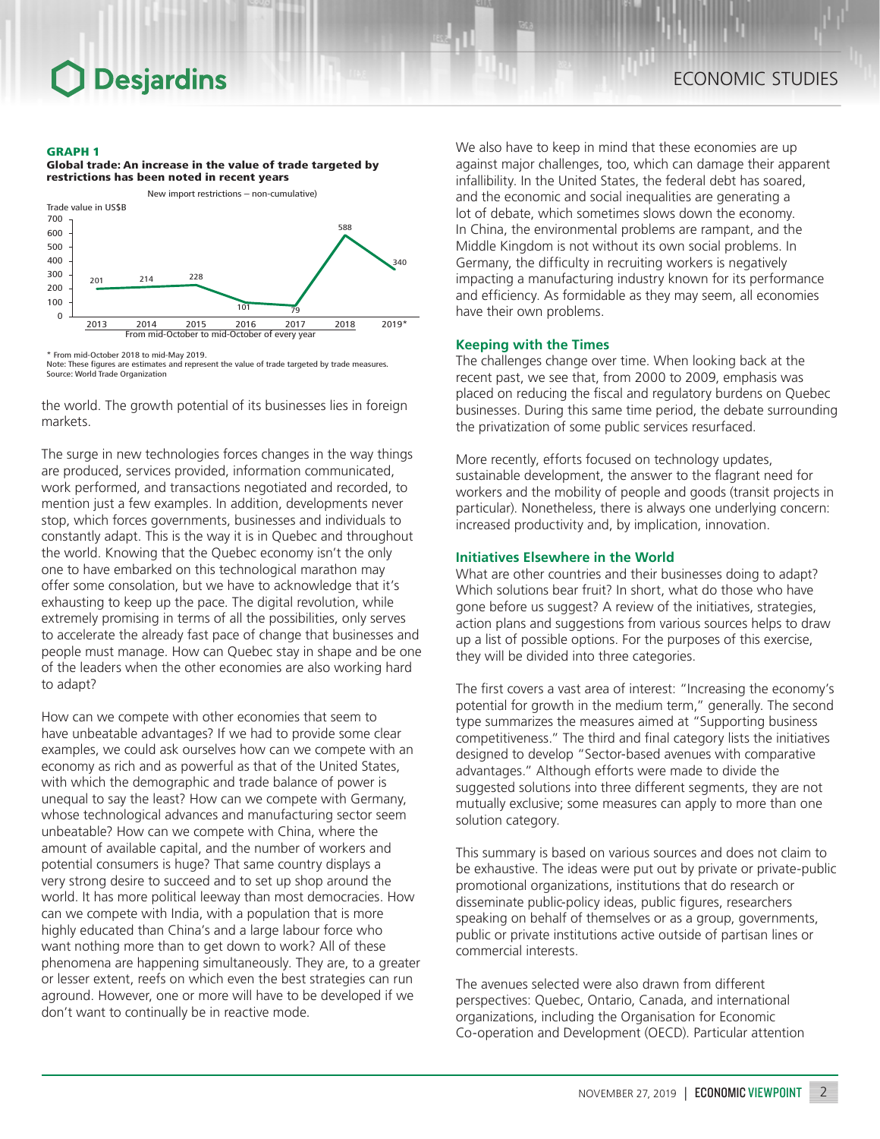### GRAPH 1

### Global trade: An increase in the value of trade targeted by restrictions has been noted in recent years



<sup>\*</sup> From mid-October 2018 to mid-May 2019.

Note: These figures are estimates and represent the value of trade targeted by trade measures. Source: World Trade Organization

the world. The growth potential of its businesses lies in foreign markets.

The surge in new technologies forces changes in the way things are produced, services provided, information communicated, work performed, and transactions negotiated and recorded, to mention just a few examples. In addition, developments never stop, which forces governments, businesses and individuals to constantly adapt. This is the way it is in Quebec and throughout the world. Knowing that the Quebec economy isn't the only one to have embarked on this technological marathon may offer some consolation, but we have to acknowledge that it's exhausting to keep up the pace. The digital revolution, while extremely promising in terms of all the possibilities, only serves to accelerate the already fast pace of change that businesses and people must manage. How can Quebec stay in shape and be one of the leaders when the other economies are also working hard to adapt?

How can we compete with other economies that seem to have unbeatable advantages? If we had to provide some clear examples, we could ask ourselves how can we compete with an economy as rich and as powerful as that of the United States, with which the demographic and trade balance of power is unequal to say the least? How can we compete with Germany, whose technological advances and manufacturing sector seem unbeatable? How can we compete with China, where the amount of available capital, and the number of workers and potential consumers is huge? That same country displays a very strong desire to succeed and to set up shop around the world. It has more political leeway than most democracies. How can we compete with India, with a population that is more highly educated than China's and a large labour force who want nothing more than to get down to work? All of these phenomena are happening simultaneously. They are, to a greater or lesser extent, reefs on which even the best strategies can run aground. However, one or more will have to be developed if we don't want to continually be in reactive mode.

We also have to keep in mind that these economies are up against major challenges, too, which can damage their apparent infallibility. In the United States, the federal debt has soared, and the economic and social inequalities are generating a lot of debate, which sometimes slows down the economy. In China, the environmental problems are rampant, and the Middle Kingdom is not without its own social problems. In Germany, the difficulty in recruiting workers is negatively impacting a manufacturing industry known for its performance and efficiency. As formidable as they may seem, all economies have their own problems.

## **Keeping with the Times**

The challenges change over time. When looking back at the recent past, we see that, from 2000 to 2009, emphasis was placed on reducing the fiscal and regulatory burdens on Quebec businesses. During this same time period, the debate surrounding the privatization of some public services resurfaced.

More recently, efforts focused on technology updates, sustainable development, the answer to the flagrant need for workers and the mobility of people and goods (transit projects in particular). Nonetheless, there is always one underlying concern: increased productivity and, by implication, innovation.

## **Initiatives Elsewhere in the World**

What are other countries and their businesses doing to adapt? Which solutions bear fruit? In short, what do those who have gone before us suggest? A review of the initiatives, strategies, action plans and suggestions from various sources helps to draw up a list of possible options. For the purposes of this exercise, they will be divided into three categories.

The first covers a vast area of interest: "Increasing the economy's potential for growth in the medium term," generally. The second type summarizes the measures aimed at "Supporting business competitiveness." The third and final category lists the initiatives designed to develop "Sector-based avenues with comparative advantages." Although efforts were made to divide the suggested solutions into three different segments, they are not mutually exclusive; some measures can apply to more than one solution category.

This summary is based on various sources and does not claim to be exhaustive. The ideas were put out by private or private-public promotional organizations, institutions that do research or disseminate public-policy ideas, public figures, researchers speaking on behalf of themselves or as a group, governments, public or private institutions active outside of partisan lines or commercial interests.

The avenues selected were also drawn from different perspectives: Quebec, Ontario, Canada, and international organizations, including the Organisation for Economic Co-operation and Development (OECD). Particular attention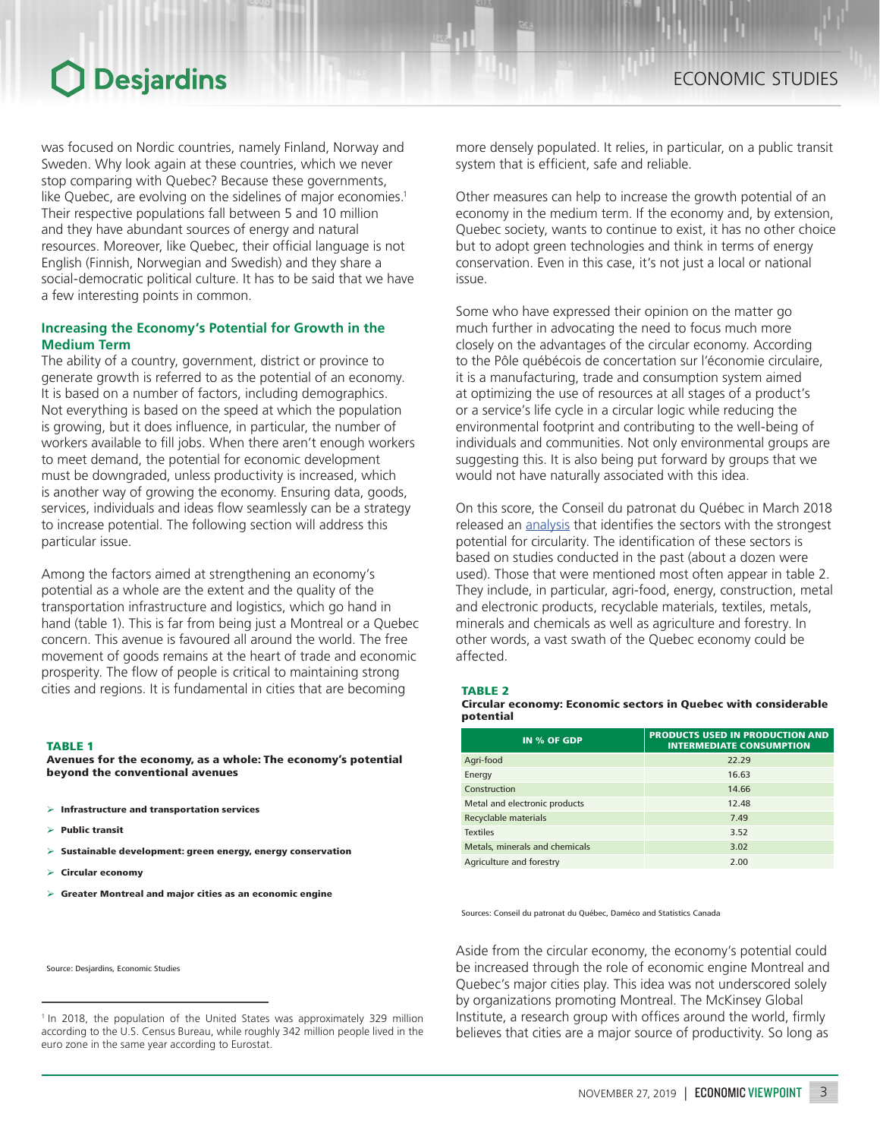was focused on Nordic countries, namely Finland, Norway and Sweden. Why look again at these countries, which we never stop comparing with Quebec? Because these governments, like Quebec, are evolving on the sidelines of major economies.<sup>1</sup> Their respective populations fall between 5 and 10 million and they have abundant sources of energy and natural resources. Moreover, like Quebec, their official language is not English (Finnish, Norwegian and Swedish) and they share a social-democratic political culture. It has to be said that we have a few interesting points in common.

## **Increasing the Economy's Potential for Growth in the Medium Term**

The ability of a country, government, district or province to generate growth is referred to as the potential of an economy. It is based on a number of factors, including demographics. Not everything is based on the speed at which the population is growing, but it does influence, in particular, the number of workers available to fill jobs. When there aren't enough workers to meet demand, the potential for economic development must be downgraded, unless productivity is increased, which is another way of growing the economy. Ensuring data, goods, services, individuals and ideas flow seamlessly can be a strategy to increase potential. The following section will address this particular issue.

Among the factors aimed at strengthening an economy's potential as a whole are the extent and the quality of the transportation infrastructure and logistics, which go hand in hand (table 1). This is far from being just a Montreal or a Quebec concern. This avenue is favoured all around the world. The free movement of goods remains at the heart of trade and economic prosperity. The flow of people is critical to maintaining strong cities and regions. It is fundamental in cities that are becoming

### TABLE 1

Avenues for the economy, as a whole: The economy's potential beyond the conventional avenues

- $\triangleright$  Infrastructure and transportation services
- $\triangleright$  Public transit
- $\triangleright$  Sustainable development: green energy, energy conservation
- ➢ Circular economy
- $\triangleright$  Greater Montreal and major cities as an economic engine

Source: Desjardins, Economic Studies

more densely populated. It relies, in particular, on a public transit system that is efficient, safe and reliable.

Other measures can help to increase the growth potential of an economy in the medium term. If the economy and, by extension, Quebec society, wants to continue to exist, it has no other choice but to adopt green technologies and think in terms of energy conservation. Even in this case, it's not just a local or national issue.

Some who have expressed their opinion on the matter go much further in advocating the need to focus much more closely on the advantages of the circular economy. According to the Pôle québécois de concertation sur l'économie circulaire, it is a manufacturing, trade and consumption system aimed at optimizing the use of resources at all stages of a product's or a service's life cycle in a circular logic while reducing the environmental footprint and contributing to the well-being of individuals and communities. Not only environmental groups are suggesting this. It is also being put forward by groups that we would not have naturally associated with this idea.

On this score, the Conseil du patronat du Québec in March 2018 released an [analysis](https://www.cpq.qc.ca/wp-content/uploads/2018/03/economie-circulaire-au-quebec.pdf) that identifies the sectors with the strongest potential for circularity. The identification of these sectors is based on studies conducted in the past (about a dozen were used). Those that were mentioned most often appear in table 2. They include, in particular, agri-food, energy, construction, metal and electronic products, recyclable materials, textiles, metals, minerals and chemicals as well as agriculture and forestry. In other words, a vast swath of the Quebec economy could be affected.

### TABLE 2

### Circular economy: Economic sectors in Quebec with considerable potential

| IN % OF GDP                    | <b>PRODUCTS USED IN PRODUCTION AND</b><br><b>INTERMEDIATE CONSUMPTION</b> |
|--------------------------------|---------------------------------------------------------------------------|
| Agri-food                      | 22.29                                                                     |
| Energy                         | 16.63                                                                     |
| Construction                   | 14.66                                                                     |
| Metal and electronic products  | 12.48                                                                     |
| Recyclable materials           | 7.49                                                                      |
| <b>Textiles</b>                | 3.52                                                                      |
| Metals, minerals and chemicals | 3.02                                                                      |
| Agriculture and forestry       | 2.00                                                                      |

Sources: Conseil du patronat du Québec, Daméco and Statistics Canada

Aside from the circular economy, the economy's potential could be increased through the role of economic engine Montreal and Quebec's major cities play. This idea was not underscored solely by organizations promoting Montreal. The McKinsey Global Institute, a research group with offices around the world, firmly believes that cities are a major source of productivity. So long as

<sup>&</sup>lt;sup>1</sup> In 2018, the population of the United States was approximately 329 million according to the U.S. Census Bureau, while roughly 342 million people lived in the euro zone in the same year according to Eurostat.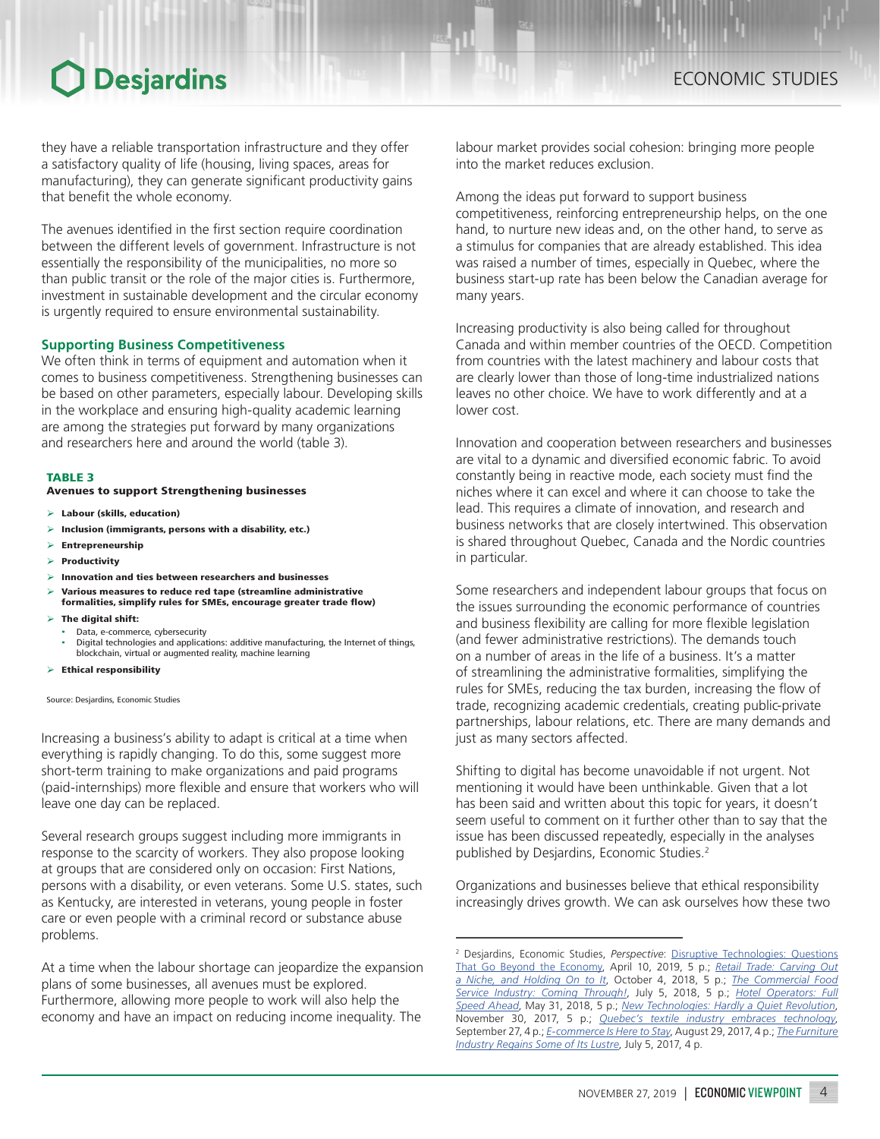they have a reliable transportation infrastructure and they offer a satisfactory quality of life (housing, living spaces, areas for manufacturing), they can generate significant productivity gains that benefit the whole economy.

The avenues identified in the first section require coordination between the different levels of government. Infrastructure is not essentially the responsibility of the municipalities, no more so than public transit or the role of the major cities is. Furthermore, investment in sustainable development and the circular economy is urgently required to ensure environmental sustainability.

## **Supporting Business Competitiveness**

We often think in terms of equipment and automation when it comes to business competitiveness. Strengthening businesses can be based on other parameters, especially labour. Developing skills in the workplace and ensuring high-quality academic learning are among the strategies put forward by many organizations and researchers here and around the world (table 3).

### TABLE 3

### Avenues to support Strengthening businesses

- $\geq$  Labour (skills, education)
- $\triangleright$  Inclusion (immigrants, persons with a disability, etc.)
- ➢ Entrepreneurship
- ➢ Productivity
- $\triangleright$  Innovation and ties between researchers and businesses
- ➢ Various measures to reduce red tape (streamline administrative formalities, simplify rules for SMEs, encourage greater trade flow)
- $\triangleright$  The digital shift:
- 
- Data, e-commerce, cybersecurity Digital technologies and applications: additive manufacturing, the Internet of things, blockchain, virtual or augmented reality, machine learning
- $\triangleright$  Ethical responsibility

Source: Desjardins, Economic Studies

Increasing a business's ability to adapt is critical at a time when everything is rapidly changing. To do this, some suggest more short-term training to make organizations and paid programs (paid‑internships) more flexible and ensure that workers who will leave one day can be replaced.

Several research groups suggest including more immigrants in response to the scarcity of workers. They also propose looking at groups that are considered only on occasion: First Nations, persons with a disability, or even veterans. Some U.S. states, such as Kentucky, are interested in veterans, young people in foster care or even people with a criminal record or substance abuse problems.

At a time when the labour shortage can jeopardize the expansion plans of some businesses, all avenues must be explored. Furthermore, allowing more people to work will also help the economy and have an impact on reducing income inequality. The

labour market provides social cohesion: bringing more people into the market reduces exclusion.

Among the ideas put forward to support business competitiveness, reinforcing entrepreneurship helps, on the one hand, to nurture new ideas and, on the other hand, to serve as a stimulus for companies that are already established. This idea was raised a number of times, especially in Quebec, where the business start-up rate has been below the Canadian average for many years.

Increasing productivity is also being called for throughout Canada and within member countries of the OECD. Competition from countries with the latest machinery and labour costs that are clearly lower than those of long-time industrialized nations leaves no other choice. We have to work differently and at a lower cost.

Innovation and cooperation between researchers and businesses are vital to a dynamic and diversified economic fabric. To avoid constantly being in reactive mode, each society must find the niches where it can excel and where it can choose to take the lead. This requires a climate of innovation, and research and business networks that are closely intertwined. This observation is shared throughout Quebec, Canada and the Nordic countries in particular.

Some researchers and independent labour groups that focus on the issues surrounding the economic performance of countries and business flexibility are calling for more flexible legislation (and fewer administrative restrictions). The demands touch on a number of areas in the life of a business. It's a matter of streamlining the administrative formalities, simplifying the rules for SMEs, reducing the tax burden, increasing the flow of trade, recognizing academic credentials, creating public-private partnerships, labour relations, etc. There are many demands and just as many sectors affected.

Shifting to digital has become unavoidable if not urgent. Not mentioning it would have been unthinkable. Given that a lot has been said and written about this topic for years, it doesn't seem useful to comment on it further other than to say that the issue has been discussed repeatedly, especially in the analyses published by Desjardins, Economic Studies.2

Organizations and businesses believe that ethical responsibility increasingly drives growth. We can ask ourselves how these two

<sup>2</sup> Desjardins, Economic Studies, *Perspective*: [Disruptive Technologies: Questions](https://www.desjardins.com/ressources/pdf/pers1904-e.pdf?resVer=1554901893000) [That Go Beyond the Economy](https://www.desjardins.com/ressources/pdf/pers1904-e.pdf?resVer=1554901893000), April 10, 2019, 5 p.; *[Retail Trade: Carving Out](https://www.desjardins.com/ressources/pdf/per1018e.pdf?resVer=1538660727000) [a Niche, and Holding On to It](https://www.desjardins.com/ressources/pdf/per1018e.pdf?resVer=1538660727000)*, October 4, 2018, 5 p.; *[The Commercial Food](https://www.desjardins.com/ressources/pdf/per0718e.pdf?resVer=1530794960000) [Service Industry: Coming Through!](https://www.desjardins.com/ressources/pdf/per0718e.pdf?resVer=1530794960000)*, July 5, 2018, 5 p.; *[Hotel Operators: Full](https://www.desjardins.com/ressources/pdf/per0518e.pdf?resVer=1527773390000) [Speed Ahead](https://www.desjardins.com/ressources/pdf/per0518e.pdf?resVer=1527773390000)*, May 31, 2018, 5 p.; *[New Technologies: Hardly a Quiet Revolution](https://www.desjardins.com/ressources/pdf/per1117e.pdf?resVer=1511981533000)*, November 30, 2017, 5 p.; *[Quebec's textile industry embraces technology](https://www.desjardins.com/ressources/pdf/per0917e.pdf?resVer=1506524501000)*, September 27, 4 p.; *[E-commerce Is Here to Stay](https://www.desjardins.com/ressources/pdf/per0817e.pdf?resVer=1504017366000)*, August 29, 2017, 4 p.; *The [Furniture](https://www.desjardins.com/ressources/pdf/per0717e.pdf?resVer=1500039599000) [Industry Regains Some of Its Lustre](https://www.desjardins.com/ressources/pdf/per0717e.pdf?resVer=1500039599000)*, July 5, 2017, 4 p.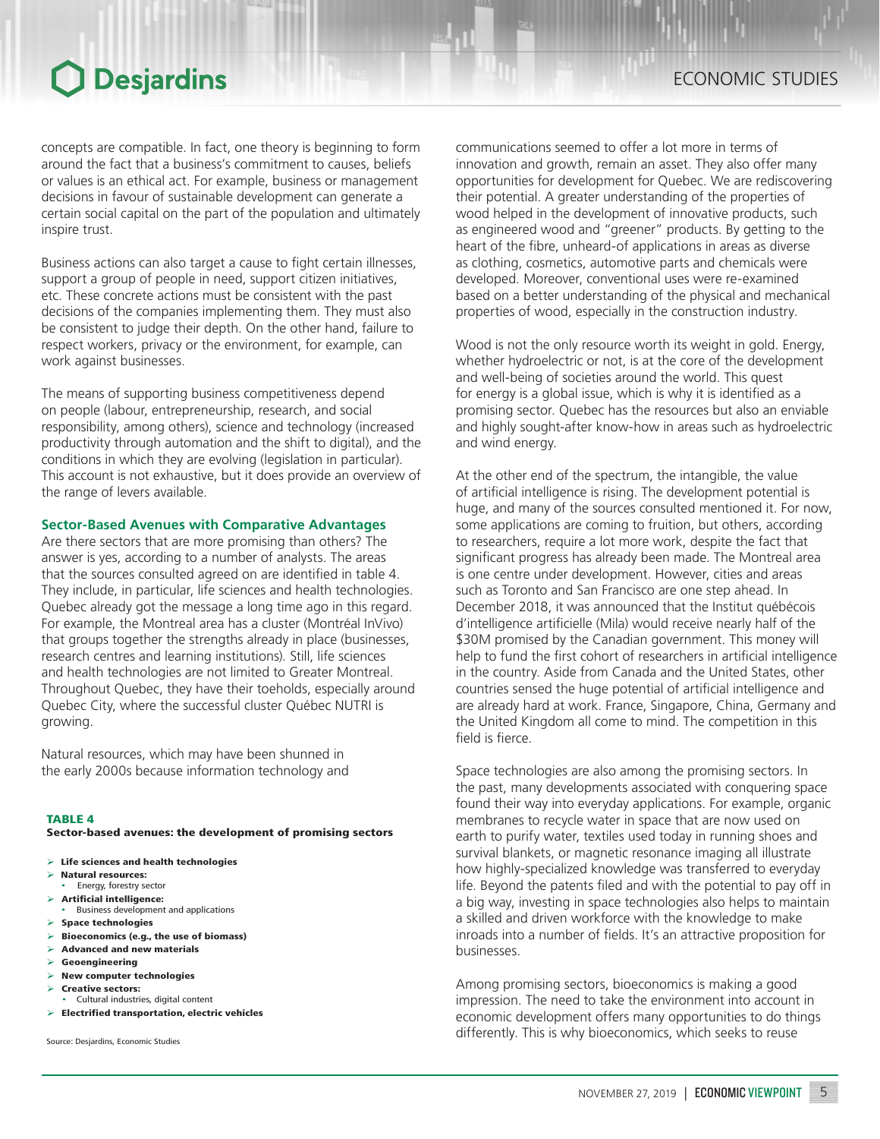concepts are compatible. In fact, one theory is beginning to form around the fact that a business's commitment to causes, beliefs or values is an ethical act. For example, business or management decisions in favour of sustainable development can generate a certain social capital on the part of the population and ultimately inspire trust.

Business actions can also target a cause to fight certain illnesses, support a group of people in need, support citizen initiatives, etc. These concrete actions must be consistent with the past decisions of the companies implementing them. They must also be consistent to judge their depth. On the other hand, failure to respect workers, privacy or the environment, for example, can work against businesses.

The means of supporting business competitiveness depend on people (labour, entrepreneurship, research, and social responsibility, among others), science and technology (increased productivity through automation and the shift to digital), and the conditions in which they are evolving (legislation in particular). This account is not exhaustive, but it does provide an overview of the range of levers available.

## **Sector-Based Avenues with Comparative Advantages**

Are there sectors that are more promising than others? The answer is yes, according to a number of analysts. The areas that the sources consulted agreed on are identified in table 4. They include, in particular, life sciences and health technologies. Quebec already got the message a long time ago in this regard. For example, the Montreal area has a cluster (Montréal InVivo) that groups together the strengths already in place (businesses, research centres and learning institutions). Still, life sciences and health technologies are not limited to Greater Montreal. Throughout Quebec, they have their toeholds, especially around Quebec City, where the successful cluster Québec NUTRI is growing.

Natural resources, which may have been shunned in the early 2000s because information technology and

### TABLE 4

Sector-based avenues: the development of promising sectors

- $\triangleright$  Life sciences and health technologies
- ➢ Natural resources:
- Energy, forestry sector
- ➢ Artificial intelligence: • Business development and applications
- $\triangleright$  Space technologies
- $\triangleright$  Bioeconomics (e.g., the use of biomass)
- $\geq$  Advanced and new materials
- ➢ Geoengineering
- $\triangleright$  New computer technologies
- ➢ Creative sectors: • Cultural industries, digital content
- ➢ Electrified transportation, electric vehicles
- 

Source: Desjardins, Economic Studies

communications seemed to offer a lot more in terms of innovation and growth, remain an asset. They also offer many opportunities for development for Quebec. We are rediscovering their potential. A greater understanding of the properties of wood helped in the development of innovative products, such as engineered wood and "greener" products. By getting to the heart of the fibre, unheard-of applications in areas as diverse as clothing, cosmetics, automotive parts and chemicals were developed. Moreover, conventional uses were re-examined based on a better understanding of the physical and mechanical properties of wood, especially in the construction industry.

Wood is not the only resource worth its weight in gold. Energy, whether hydroelectric or not, is at the core of the development and well-being of societies around the world. This quest for energy is a global issue, which is why it is identified as a promising sector. Quebec has the resources but also an enviable and highly sought-after know-how in areas such as hydroelectric and wind energy.

At the other end of the spectrum, the intangible, the value of artificial intelligence is rising. The development potential is huge, and many of the sources consulted mentioned it. For now, some applications are coming to fruition, but others, according to researchers, require a lot more work, despite the fact that significant progress has already been made. The Montreal area is one centre under development. However, cities and areas such as Toronto and San Francisco are one step ahead. In December 2018, it was announced that the Institut québécois d'intelligence artificielle (Mila) would receive nearly half of the \$30M promised by the Canadian government. This money will help to fund the first cohort of researchers in artificial intelligence in the country. Aside from Canada and the United States, other countries sensed the huge potential of artificial intelligence and are already hard at work. France, Singapore, China, Germany and the United Kingdom all come to mind. The competition in this field is fierce.

Space technologies are also among the promising sectors. In the past, many developments associated with conquering space found their way into everyday applications. For example, organic membranes to recycle water in space that are now used on earth to purify water, textiles used today in running shoes and survival blankets, or magnetic resonance imaging all illustrate how highly-specialized knowledge was transferred to everyday life. Beyond the patents filed and with the potential to pay off in a big way, investing in space technologies also helps to maintain a skilled and driven workforce with the knowledge to make inroads into a number of fields. It's an attractive proposition for businesses.

Among promising sectors, bioeconomics is making a good impression. The need to take the environment into account in economic development offers many opportunities to do things differently. This is why bioeconomics, which seeks to reuse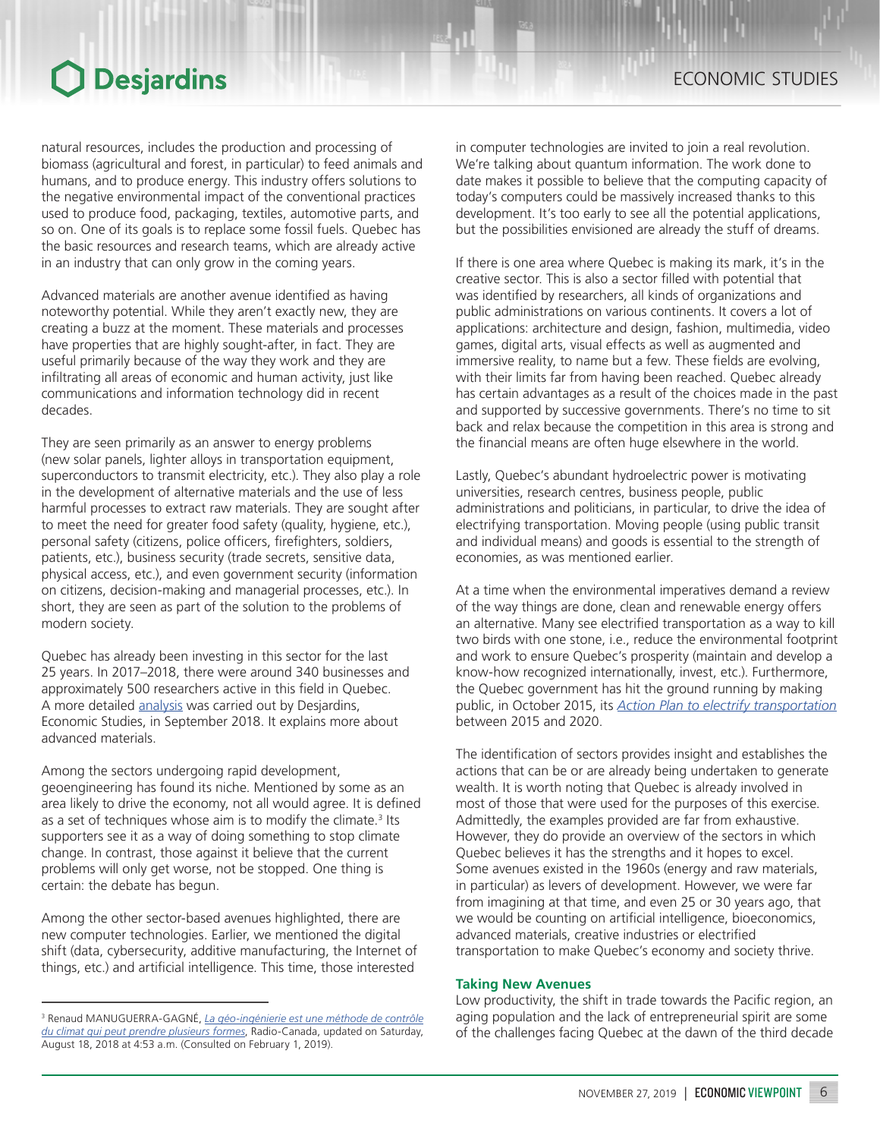natural resources, includes the production and processing of biomass (agricultural and forest, in particular) to feed animals and humans, and to produce energy. This industry offers solutions to the negative environmental impact of the conventional practices used to produce food, packaging, textiles, automotive parts, and so on. One of its goals is to replace some fossil fuels. Quebec has the basic resources and research teams, which are already active in an industry that can only grow in the coming years.

Advanced materials are another avenue identified as having noteworthy potential. While they aren't exactly new, they are creating a buzz at the moment. These materials and processes have properties that are highly sought-after, in fact. They are useful primarily because of the way they work and they are infiltrating all areas of economic and human activity, just like communications and information technology did in recent decades.

They are seen primarily as an answer to energy problems (new solar panels, lighter alloys in transportation equipment, superconductors to transmit electricity, etc.). They also play a role in the development of alternative materials and the use of less harmful processes to extract raw materials. They are sought after to meet the need for greater food safety (quality, hygiene, etc.), personal safety (citizens, police officers, firefighters, soldiers, patients, etc.), business security (trade secrets, sensitive data, physical access, etc.), and even government security (information on citizens, decision-making and managerial processes, etc.). In short, they are seen as part of the solution to the problems of modern society.

Quebec has already been investing in this sector for the last 25 years. In 2017–2018, there were around 340 businesses and approximately 500 researchers active in this field in Quebec. A more detailed [analysis](https://www.desjardins.com/ressources/pdf/per0918e.pdf?resVer=1536151401000) was carried out by Desjardins, Economic Studies, in September 2018. It explains more about advanced materials.

Among the sectors undergoing rapid development, geoengineering has found its niche. Mentioned by some as an area likely to drive the economy, not all would agree. It is defined as a set of techniques whose aim is to modify the climate.<sup>3</sup> Its supporters see it as a way of doing something to stop climate change. In contrast, those against it believe that the current problems will only get worse, not be stopped. One thing is certain: the debate has begun.

Among the other sector-based avenues highlighted, there are new computer technologies. Earlier, we mentioned the digital shift (data, cybersecurity, additive manufacturing, the Internet of things, etc.) and artificial intelligence. This time, those interested

in computer technologies are invited to join a real revolution. We're talking about quantum information. The work done to date makes it possible to believe that the computing capacity of today's computers could be massively increased thanks to this development. It's too early to see all the potential applications, but the possibilities envisioned are already the stuff of dreams.

If there is one area where Quebec is making its mark, it's in the creative sector. This is also a sector filled with potential that was identified by researchers, all kinds of organizations and public administrations on various continents. It covers a lot of applications: architecture and design, fashion, multimedia, video games, digital arts, visual effects as well as augmented and immersive reality, to name but a few. These fields are evolving, with their limits far from having been reached. Quebec already has certain advantages as a result of the choices made in the past and supported by successive governments. There's no time to sit back and relax because the competition in this area is strong and the financial means are often huge elsewhere in the world.

Lastly, Quebec's abundant hydroelectric power is motivating universities, research centres, business people, public administrations and politicians, in particular, to drive the idea of electrifying transportation. Moving people (using public transit and individual means) and goods is essential to the strength of economies, as was mentioned earlier.

At a time when the environmental imperatives demand a review of the way things are done, clean and renewable energy offers an alternative. Many see electrified transportation as a way to kill two birds with one stone, i.e., reduce the environmental footprint and work to ensure Quebec's prosperity (maintain and develop a know-how recognized internationally, invest, etc.). Furthermore, the Quebec government has hit the ground running by making public, in October 2015, its *[Action Plan](https://www.transports.gouv.qc.ca/fr/ministere/role_ministere/electrification/Pages/electrification.aspx) to electrify transportation* between 2015 and 2020.

The identification of sectors provides insight and establishes the actions that can be or are already being undertaken to generate wealth. It is worth noting that Quebec is already involved in most of those that were used for the purposes of this exercise. Admittedly, the examples provided are far from exhaustive. However, they do provide an overview of the sectors in which Quebec believes it has the strengths and it hopes to excel. Some avenues existed in the 1960s (energy and raw materials, in particular) as levers of development. However, we were far from imagining at that time, and even 25 or 30 years ago, that we would be counting on artificial intelligence, bioeconomics, advanced materials, creative industries or electrified transportation to make Quebec's economy and society thrive.

## **Taking New Avenues**

Low productivity, the shift in trade towards the Pacific region, an aging population and the lack of entrepreneurial spirit are some of the challenges facing Quebec at the dawn of the third decade

<sup>3</sup> Renaud MANUGUERRA-GAGNÉ, *[La géo-ingénierie est une méthode de contrôle](https://ici.radio-canada.ca/nouvelle/1118596/geo-ingenierie-solution-changement-climat)  [du climat qui peut prendre plusieurs formes](https://ici.radio-canada.ca/nouvelle/1118596/geo-ingenierie-solution-changement-climat)*, Radio-Canada, updated on Saturday, August 18, 2018 at 4:53 a.m. (Consulted on February 1, 2019).